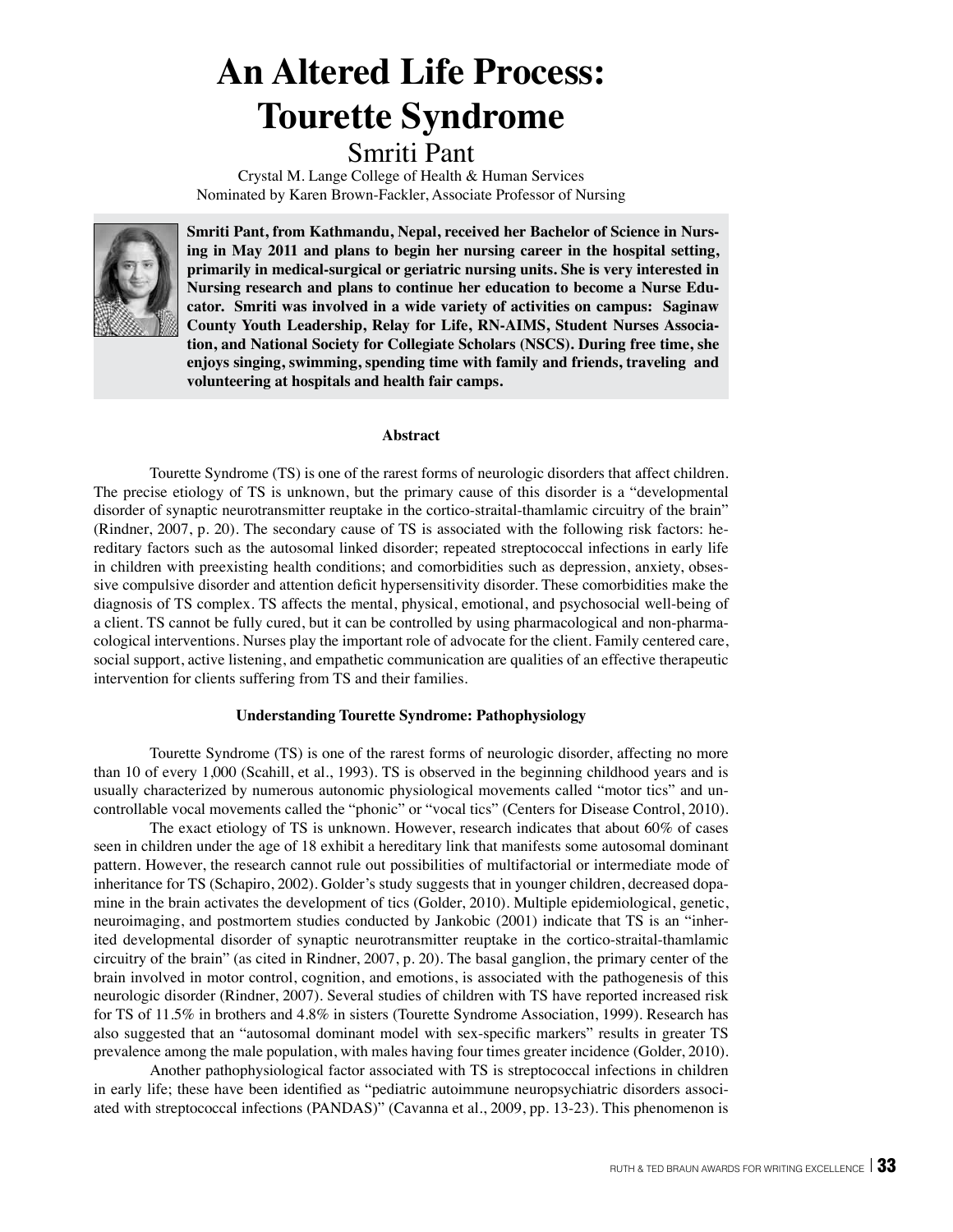# **An Altered Life Process: Tourette Syndrome**

# Smriti Pant

Crystal M. Lange College of Health & Human Services Nominated by Karen Brown-Fackler, Associate Professor of Nursing



**Smriti Pant, from Kathmandu, Nepal, received her Bachelor of Science in Nursing in May 2011 and plans to begin her nursing career in the hospital setting, primarily in medical-surgical or geriatric nursing units. She is very interested in Nursing research and plans to continue her education to become a Nurse Educator. Smriti was involved in a wide variety of activities on campus: Saginaw County Youth Leadership, Relay for Life, RN-AIMS, Student Nurses Association, and National Society for Collegiate Scholars (NSCS). During free time, she enjoys singing, swimming, spending time with family and friends, traveling and volunteering at hospitals and health fair camps.**

# **Abstract**

Tourette Syndrome (TS) is one of the rarest forms of neurologic disorders that affect children. The precise etiology of TS is unknown, but the primary cause of this disorder is a "developmental disorder of synaptic neurotransmitter reuptake in the cortico-straital-thamlamic circuitry of the brain" (Rindner, 2007, p. 20). The secondary cause of TS is associated with the following risk factors: hereditary factors such as the autosomal linked disorder; repeated streptococcal infections in early life in children with preexisting health conditions; and comorbidities such as depression, anxiety, obsessive compulsive disorder and attention deficit hypersensitivity disorder. These comorbidities make the diagnosis of TS complex. TS affects the mental, physical, emotional, and psychosocial well-being of a client. TS cannot be fully cured, but it can be controlled by using pharmacological and non-pharmacological interventions. Nurses play the important role of advocate for the client. Family centered care, social support, active listening, and empathetic communication are qualities of an effective therapeutic intervention for clients suffering from TS and their families.

### **Understanding Tourette Syndrome: Pathophysiology**

Tourette Syndrome (TS) is one of the rarest forms of neurologic disorder, affecting no more than 10 of every 1,000 (Scahill, et al., 1993). TS is observed in the beginning childhood years and is usually characterized by numerous autonomic physiological movements called "motor tics" and uncontrollable vocal movements called the "phonic" or "vocal tics" (Centers for Disease Control, 2010).

The exact etiology of TS is unknown. However, research indicates that about 60% of cases seen in children under the age of 18 exhibit a hereditary link that manifests some autosomal dominant pattern. However, the research cannot rule out possibilities of multifactorial or intermediate mode of inheritance for TS (Schapiro, 2002). Golder's study suggests that in younger children, decreased dopamine in the brain activates the development of tics (Golder, 2010). Multiple epidemiological, genetic, neuroimaging, and postmortem studies conducted by Jankobic (2001) indicate that TS is an "inherited developmental disorder of synaptic neurotransmitter reuptake in the cortico-straital-thamlamic circuitry of the brain" (as cited in Rindner, 2007, p. 20). The basal ganglion, the primary center of the brain involved in motor control, cognition, and emotions, is associated with the pathogenesis of this neurologic disorder (Rindner, 2007). Several studies of children with TS have reported increased risk for TS of 11.5% in brothers and 4.8% in sisters (Tourette Syndrome Association, 1999). Research has also suggested that an "autosomal dominant model with sex-specific markers" results in greater TS prevalence among the male population, with males having four times greater incidence (Golder, 2010).

Another pathophysiological factor associated with TS is streptococcal infections in children in early life; these have been identified as "pediatric autoimmune neuropsychiatric disorders associated with streptococcal infections (PANDAS)" (Cavanna et al., 2009, pp. 13-23). This phenomenon is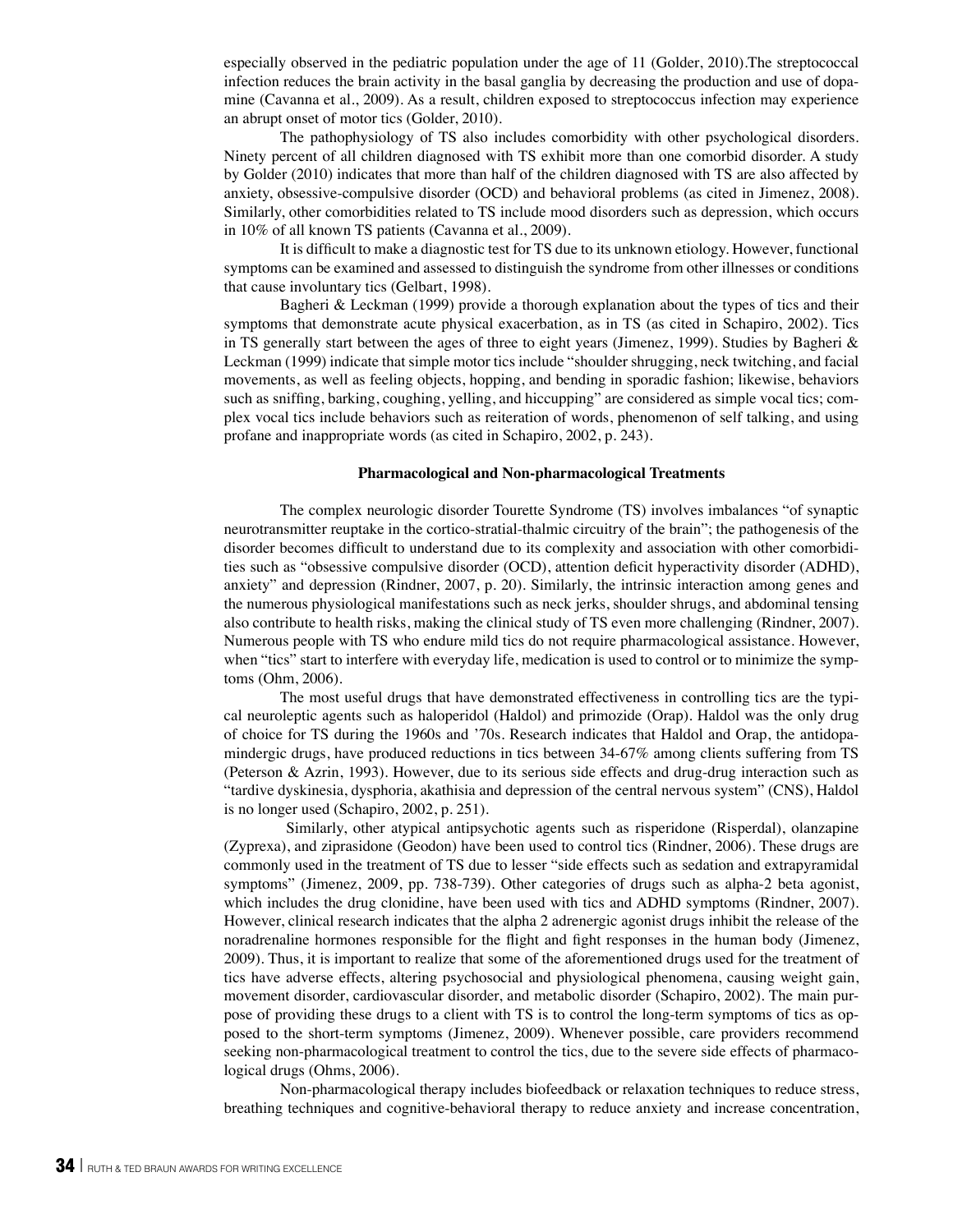especially observed in the pediatric population under the age of 11 (Golder, 2010).The streptococcal infection reduces the brain activity in the basal ganglia by decreasing the production and use of dopamine (Cavanna et al., 2009). As a result, children exposed to streptococcus infection may experience an abrupt onset of motor tics (Golder, 2010).

The pathophysiology of TS also includes comorbidity with other psychological disorders. Ninety percent of all children diagnosed with TS exhibit more than one comorbid disorder. A study by Golder (2010) indicates that more than half of the children diagnosed with TS are also affected by anxiety, obsessive-compulsive disorder (OCD) and behavioral problems (as cited in Jimenez, 2008). Similarly, other comorbidities related to TS include mood disorders such as depression, which occurs in 10% of all known TS patients (Cavanna et al., 2009).

It is difficult to make a diagnostic test for TS due to its unknown etiology. However, functional symptoms can be examined and assessed to distinguish the syndrome from other illnesses or conditions that cause involuntary tics (Gelbart, 1998).

Bagheri & Leckman (1999) provide a thorough explanation about the types of tics and their symptoms that demonstrate acute physical exacerbation, as in TS (as cited in Schapiro, 2002). Tics in TS generally start between the ages of three to eight years (Jimenez, 1999). Studies by Bagheri & Leckman (1999) indicate that simple motor tics include "shoulder shrugging, neck twitching, and facial movements, as well as feeling objects, hopping, and bending in sporadic fashion; likewise, behaviors such as sniffing, barking, coughing, yelling, and hiccupping" are considered as simple vocal tics; complex vocal tics include behaviors such as reiteration of words, phenomenon of self talking, and using profane and inappropriate words (as cited in Schapiro, 2002, p. 243).

#### **Pharmacological and Non-pharmacological Treatments**

The complex neurologic disorder Tourette Syndrome (TS) involves imbalances "of synaptic neurotransmitter reuptake in the cortico-stratial-thalmic circuitry of the brain"; the pathogenesis of the disorder becomes difficult to understand due to its complexity and association with other comorbidities such as "obsessive compulsive disorder (OCD), attention deficit hyperactivity disorder (ADHD), anxiety" and depression (Rindner, 2007, p. 20). Similarly, the intrinsic interaction among genes and the numerous physiological manifestations such as neck jerks, shoulder shrugs, and abdominal tensing also contribute to health risks, making the clinical study of TS even more challenging (Rindner, 2007). Numerous people with TS who endure mild tics do not require pharmacological assistance. However, when "tics" start to interfere with everyday life, medication is used to control or to minimize the symptoms (Ohm, 2006).

The most useful drugs that have demonstrated effectiveness in controlling tics are the typical neuroleptic agents such as haloperidol (Haldol) and primozide (Orap). Haldol was the only drug of choice for TS during the 1960s and '70s. Research indicates that Haldol and Orap, the antidopamindergic drugs, have produced reductions in tics between 34-67% among clients suffering from TS (Peterson & Azrin, 1993). However, due to its serious side effects and drug-drug interaction such as "tardive dyskinesia, dysphoria, akathisia and depression of the central nervous system" (CNS), Haldol is no longer used (Schapiro, 2002, p. 251).

 Similarly, other atypical antipsychotic agents such as risperidone (Risperdal), olanzapine (Zyprexa), and ziprasidone (Geodon) have been used to control tics (Rindner, 2006). These drugs are commonly used in the treatment of TS due to lesser "side effects such as sedation and extrapyramidal symptoms" (Jimenez, 2009, pp. 738-739). Other categories of drugs such as alpha-2 beta agonist, which includes the drug clonidine, have been used with tics and ADHD symptoms (Rindner, 2007). However, clinical research indicates that the alpha 2 adrenergic agonist drugs inhibit the release of the noradrenaline hormones responsible for the flight and fight responses in the human body (Jimenez, 2009). Thus, it is important to realize that some of the aforementioned drugs used for the treatment of tics have adverse effects, altering psychosocial and physiological phenomena, causing weight gain, movement disorder, cardiovascular disorder, and metabolic disorder (Schapiro, 2002). The main purpose of providing these drugs to a client with TS is to control the long-term symptoms of tics as opposed to the short-term symptoms (Jimenez, 2009). Whenever possible, care providers recommend seeking non-pharmacological treatment to control the tics, due to the severe side effects of pharmacological drugs (Ohms, 2006).

Non-pharmacological therapy includes biofeedback or relaxation techniques to reduce stress, breathing techniques and cognitive-behavioral therapy to reduce anxiety and increase concentration,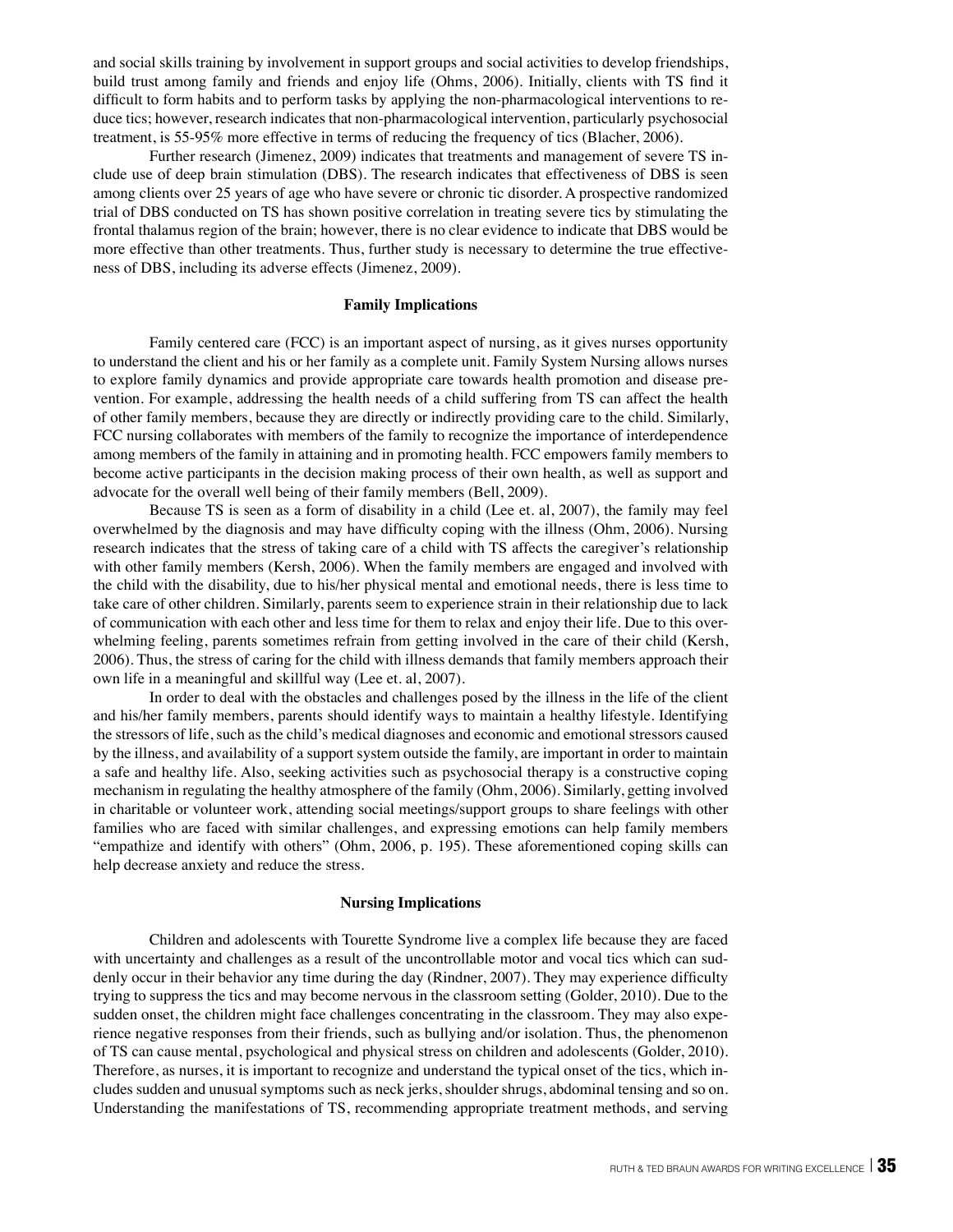and social skills training by involvement in support groups and social activities to develop friendships, build trust among family and friends and enjoy life (Ohms, 2006). Initially, clients with TS find it difficult to form habits and to perform tasks by applying the non-pharmacological interventions to reduce tics; however, research indicates that non-pharmacological intervention, particularly psychosocial treatment, is 55-95% more effective in terms of reducing the frequency of tics (Blacher, 2006).

Further research (Jimenez, 2009) indicates that treatments and management of severe TS include use of deep brain stimulation (DBS). The research indicates that effectiveness of DBS is seen among clients over 25 years of age who have severe or chronic tic disorder. A prospective randomized trial of DBS conducted on TS has shown positive correlation in treating severe tics by stimulating the frontal thalamus region of the brain; however, there is no clear evidence to indicate that DBS would be more effective than other treatments. Thus, further study is necessary to determine the true effectiveness of DBS, including its adverse effects (Jimenez, 2009).

#### **Family Implications**

Family centered care (FCC) is an important aspect of nursing, as it gives nurses opportunity to understand the client and his or her family as a complete unit. Family System Nursing allows nurses to explore family dynamics and provide appropriate care towards health promotion and disease prevention. For example, addressing the health needs of a child suffering from TS can affect the health of other family members, because they are directly or indirectly providing care to the child. Similarly, FCC nursing collaborates with members of the family to recognize the importance of interdependence among members of the family in attaining and in promoting health. FCC empowers family members to become active participants in the decision making process of their own health, as well as support and advocate for the overall well being of their family members (Bell, 2009).

Because TS is seen as a form of disability in a child (Lee et. al, 2007), the family may feel overwhelmed by the diagnosis and may have difficulty coping with the illness (Ohm, 2006). Nursing research indicates that the stress of taking care of a child with TS affects the caregiver's relationship with other family members (Kersh, 2006). When the family members are engaged and involved with the child with the disability, due to his/her physical mental and emotional needs, there is less time to take care of other children. Similarly, parents seem to experience strain in their relationship due to lack of communication with each other and less time for them to relax and enjoy their life. Due to this overwhelming feeling, parents sometimes refrain from getting involved in the care of their child (Kersh, 2006). Thus, the stress of caring for the child with illness demands that family members approach their own life in a meaningful and skillful way (Lee et. al, 2007).

In order to deal with the obstacles and challenges posed by the illness in the life of the client and his/her family members, parents should identify ways to maintain a healthy lifestyle. Identifying the stressors of life, such as the child's medical diagnoses and economic and emotional stressors caused by the illness, and availability of a support system outside the family, are important in order to maintain a safe and healthy life. Also, seeking activities such as psychosocial therapy is a constructive coping mechanism in regulating the healthy atmosphere of the family (Ohm, 2006). Similarly, getting involved in charitable or volunteer work, attending social meetings/support groups to share feelings with other families who are faced with similar challenges, and expressing emotions can help family members "empathize and identify with others" (Ohm, 2006, p. 195). These aforementioned coping skills can help decrease anxiety and reduce the stress.

#### **Nursing Implications**

Children and adolescents with Tourette Syndrome live a complex life because they are faced with uncertainty and challenges as a result of the uncontrollable motor and vocal tics which can suddenly occur in their behavior any time during the day (Rindner, 2007). They may experience difficulty trying to suppress the tics and may become nervous in the classroom setting (Golder, 2010). Due to the sudden onset, the children might face challenges concentrating in the classroom. They may also experience negative responses from their friends, such as bullying and/or isolation. Thus, the phenomenon of TS can cause mental, psychological and physical stress on children and adolescents (Golder, 2010). Therefore, as nurses, it is important to recognize and understand the typical onset of the tics, which includes sudden and unusual symptoms such as neck jerks, shoulder shrugs, abdominal tensing and so on. Understanding the manifestations of TS, recommending appropriate treatment methods, and serving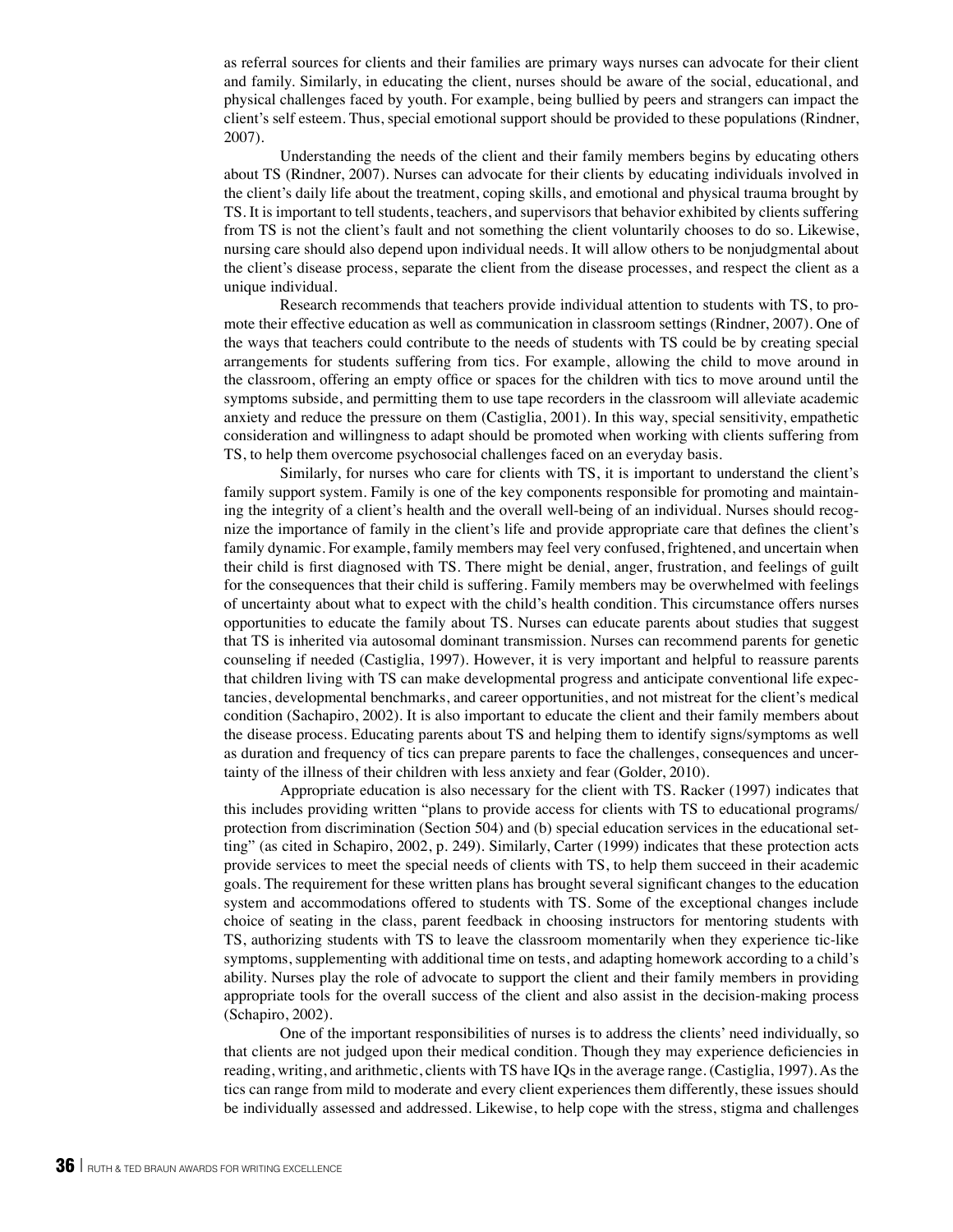as referral sources for clients and their families are primary ways nurses can advocate for their client and family. Similarly, in educating the client, nurses should be aware of the social, educational, and physical challenges faced by youth. For example, being bullied by peers and strangers can impact the client's self esteem. Thus, special emotional support should be provided to these populations (Rindner, 2007).

Understanding the needs of the client and their family members begins by educating others about TS (Rindner, 2007). Nurses can advocate for their clients by educating individuals involved in the client's daily life about the treatment, coping skills, and emotional and physical trauma brought by TS. It is important to tell students, teachers, and supervisors that behavior exhibited by clients suffering from TS is not the client's fault and not something the client voluntarily chooses to do so. Likewise, nursing care should also depend upon individual needs. It will allow others to be nonjudgmental about the client's disease process, separate the client from the disease processes, and respect the client as a unique individual.

Research recommends that teachers provide individual attention to students with TS, to promote their effective education as well as communication in classroom settings (Rindner, 2007). One of the ways that teachers could contribute to the needs of students with TS could be by creating special arrangements for students suffering from tics. For example, allowing the child to move around in the classroom, offering an empty office or spaces for the children with tics to move around until the symptoms subside, and permitting them to use tape recorders in the classroom will alleviate academic anxiety and reduce the pressure on them (Castiglia, 2001). In this way, special sensitivity, empathetic consideration and willingness to adapt should be promoted when working with clients suffering from TS, to help them overcome psychosocial challenges faced on an everyday basis.

Similarly, for nurses who care for clients with TS, it is important to understand the client's family support system. Family is one of the key components responsible for promoting and maintaining the integrity of a client's health and the overall well-being of an individual. Nurses should recognize the importance of family in the client's life and provide appropriate care that defines the client's family dynamic. For example, family members may feel very confused, frightened, and uncertain when their child is first diagnosed with TS. There might be denial, anger, frustration, and feelings of guilt for the consequences that their child is suffering. Family members may be overwhelmed with feelings of uncertainty about what to expect with the child's health condition. This circumstance offers nurses opportunities to educate the family about TS. Nurses can educate parents about studies that suggest that TS is inherited via autosomal dominant transmission. Nurses can recommend parents for genetic counseling if needed (Castiglia, 1997). However, it is very important and helpful to reassure parents that children living with TS can make developmental progress and anticipate conventional life expectancies, developmental benchmarks, and career opportunities, and not mistreat for the client's medical condition (Sachapiro, 2002). It is also important to educate the client and their family members about the disease process. Educating parents about TS and helping them to identify signs/symptoms as well as duration and frequency of tics can prepare parents to face the challenges, consequences and uncertainty of the illness of their children with less anxiety and fear (Golder, 2010).

Appropriate education is also necessary for the client with TS. Racker (1997) indicates that this includes providing written "plans to provide access for clients with TS to educational programs/ protection from discrimination (Section 504) and (b) special education services in the educational setting" (as cited in Schapiro, 2002, p. 249). Similarly, Carter (1999) indicates that these protection acts provide services to meet the special needs of clients with TS, to help them succeed in their academic goals. The requirement for these written plans has brought several significant changes to the education system and accommodations offered to students with TS. Some of the exceptional changes include choice of seating in the class, parent feedback in choosing instructors for mentoring students with TS, authorizing students with TS to leave the classroom momentarily when they experience tic-like symptoms, supplementing with additional time on tests, and adapting homework according to a child's ability. Nurses play the role of advocate to support the client and their family members in providing appropriate tools for the overall success of the client and also assist in the decision-making process (Schapiro, 2002).

One of the important responsibilities of nurses is to address the clients' need individually, so that clients are not judged upon their medical condition. Though they may experience deficiencies in reading, writing, and arithmetic, clients with TS have IQs in the average range. (Castiglia, 1997). As the tics can range from mild to moderate and every client experiences them differently, these issues should be individually assessed and addressed. Likewise, to help cope with the stress, stigma and challenges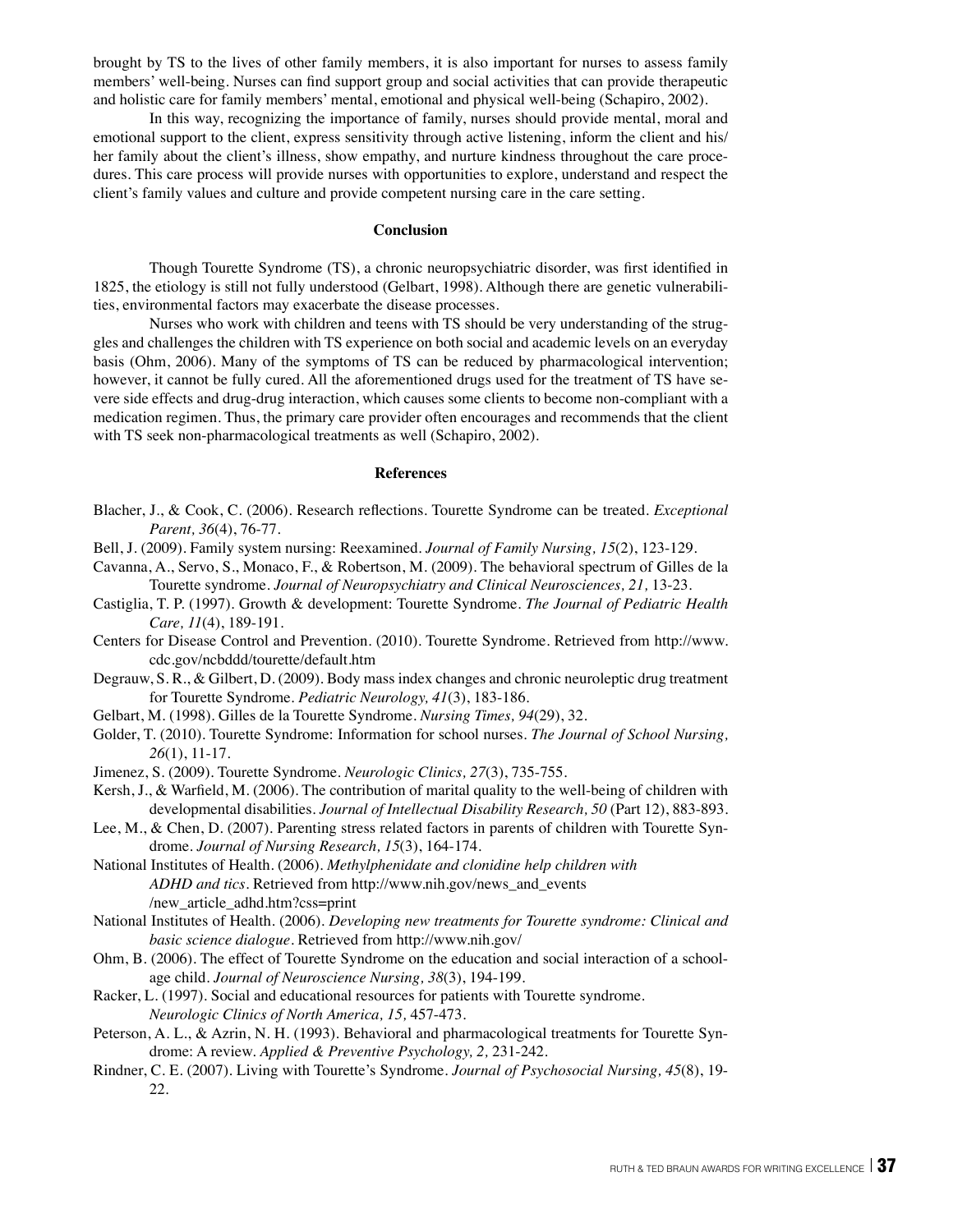brought by TS to the lives of other family members, it is also important for nurses to assess family members' well-being. Nurses can find support group and social activities that can provide therapeutic and holistic care for family members' mental, emotional and physical well-being (Schapiro, 2002).

In this way, recognizing the importance of family, nurses should provide mental, moral and emotional support to the client, express sensitivity through active listening, inform the client and his/ her family about the client's illness, show empathy, and nurture kindness throughout the care procedures. This care process will provide nurses with opportunities to explore, understand and respect the client's family values and culture and provide competent nursing care in the care setting.

## **Conclusion**

Though Tourette Syndrome (TS), a chronic neuropsychiatric disorder, was first identified in 1825, the etiology is still not fully understood (Gelbart, 1998). Although there are genetic vulnerabilities, environmental factors may exacerbate the disease processes.

Nurses who work with children and teens with TS should be very understanding of the struggles and challenges the children with TS experience on both social and academic levels on an everyday basis (Ohm, 2006). Many of the symptoms of TS can be reduced by pharmacological intervention; however, it cannot be fully cured. All the aforementioned drugs used for the treatment of TS have severe side effects and drug-drug interaction, which causes some clients to become non-compliant with a medication regimen. Thus, the primary care provider often encourages and recommends that the client with TS seek non-pharmacological treatments as well (Schapiro, 2002).

#### **References**

- Blacher, J., & Cook, C. (2006). Research reflections. Tourette Syndrome can be treated. *Exceptional Parent, 36*(4), 76-77.
- Bell, J. (2009). Family system nursing: Reexamined. *Journal of Family Nursing, 15*(2), 123-129.
- Cavanna, A., Servo, S., Monaco, F., & Robertson, M. (2009). The behavioral spectrum of Gilles de la Tourette syndrome. *Journal of Neuropsychiatry and Clinical Neurosciences, 21,* 13-23.
- Castiglia, T. P. (1997). Growth & development: Tourette Syndrome. *The Journal of Pediatric Health Care, 11*(4), 189-191.
- Centers for Disease Control and Prevention. (2010). Tourette Syndrome. Retrieved from http://www. cdc.gov/ncbddd/tourette/default.htm
- Degrauw, S. R., & Gilbert, D. (2009). Body mass index changes and chronic neuroleptic drug treatment for Tourette Syndrome. *Pediatric Neurology, 41*(3), 183-186.
- Gelbart, M. (1998). Gilles de la Tourette Syndrome. *Nursing Times, 94*(29), 32.
- Golder, T. (2010). Tourette Syndrome: Information for school nurses. *The Journal of School Nursing, 26*(1), 11-17.
- Jimenez, S. (2009). Tourette Syndrome. *Neurologic Clinics, 27*(3), 735-755.
- Kersh, J., & Warfield, M. (2006). The contribution of marital quality to the well-being of children with developmental disabilities. *Journal of Intellectual Disability Research, 50* (Part 12), 883-893.
- Lee, M., & Chen, D. (2007). Parenting stress related factors in parents of children with Tourette Syndrome. *Journal of Nursing Research, 15*(3), 164-174.
- National Institutes of Health. (2006). *Methylphenidate and clonidine help children with ADHD and tics.* Retrieved from http://www.nih.gov/news\_and\_events /new\_article\_adhd.htm?css=print
- National Institutes of Health. (2006). *Developing new treatments for Tourette syndrome: Clinical and basic science dialogue.* Retrieved from http://www.nih.gov/
- Ohm, B. (2006). The effect of Tourette Syndrome on the education and social interaction of a schoolage child. *Journal of Neuroscience Nursing, 38*(3), 194-199.
- Racker, L. (1997). Social and educational resources for patients with Tourette syndrome. *Neurologic Clinics of North America, 15,* 457-473.
- Peterson, A. L., & Azrin, N. H. (1993). Behavioral and pharmacological treatments for Tourette Syndrome: A review. *Applied & Preventive Psychology, 2,* 231-242.
- Rindner, C. E. (2007). Living with Tourette's Syndrome. *Journal of Psychosocial Nursing, 45*(8), 19- 22.